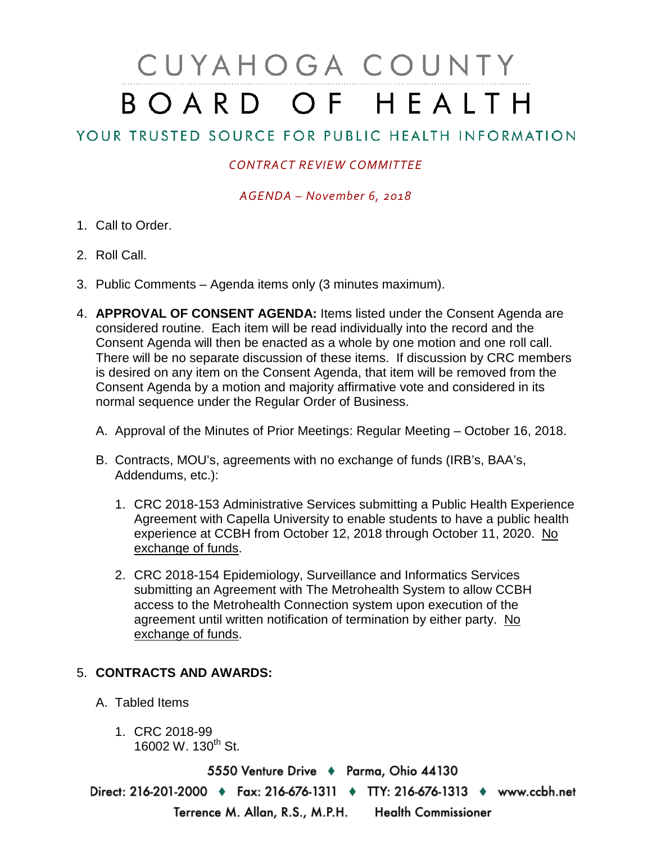## CUYAHOGA COUNTY BOARD OF HEALTH

## YOUR TRUSTED SOURCE FOR PUBLIC HEALTH INFORMATION

## *CONTRACT REVIEW COMMITTEE*

*AGENDA – November 6, 2018*

- 1. Call to Order.
- 2. Roll Call.
- 3. Public Comments Agenda items only (3 minutes maximum).
- 4. **APPROVAL OF CONSENT AGENDA:** Items listed under the Consent Agenda are considered routine. Each item will be read individually into the record and the Consent Agenda will then be enacted as a whole by one motion and one roll call. There will be no separate discussion of these items. If discussion by CRC members is desired on any item on the Consent Agenda, that item will be removed from the Consent Agenda by a motion and majority affirmative vote and considered in its normal sequence under the Regular Order of Business.
	- A. Approval of the Minutes of Prior Meetings: Regular Meeting October 16, 2018.
	- B. Contracts, MOU's, agreements with no exchange of funds (IRB's, BAA's, Addendums, etc.):
		- 1. CRC 2018-153 Administrative Services submitting a Public Health Experience Agreement with Capella University to enable students to have a public health experience at CCBH from October 12, 2018 through October 11, 2020. No exchange of funds.
		- 2. CRC 2018-154 Epidemiology, Surveillance and Informatics Services submitting an Agreement with The Metrohealth System to allow CCBH access to the Metrohealth Connection system upon execution of the agreement until written notification of termination by either party. No exchange of funds.

## 5. **CONTRACTS AND AWARDS:**

- A. Tabled Items
	- 1. CRC 2018-99 16002 W. 130<sup>th</sup> St.

5550 Venture Drive + Parma, Ohio 44130 Direct: 216-201-2000 • Fax: 216-676-1311 • TTY: 216-676-1313 • www.ccbh.net Terrence M. Allan, R.S., M.P.H. Health Commissioner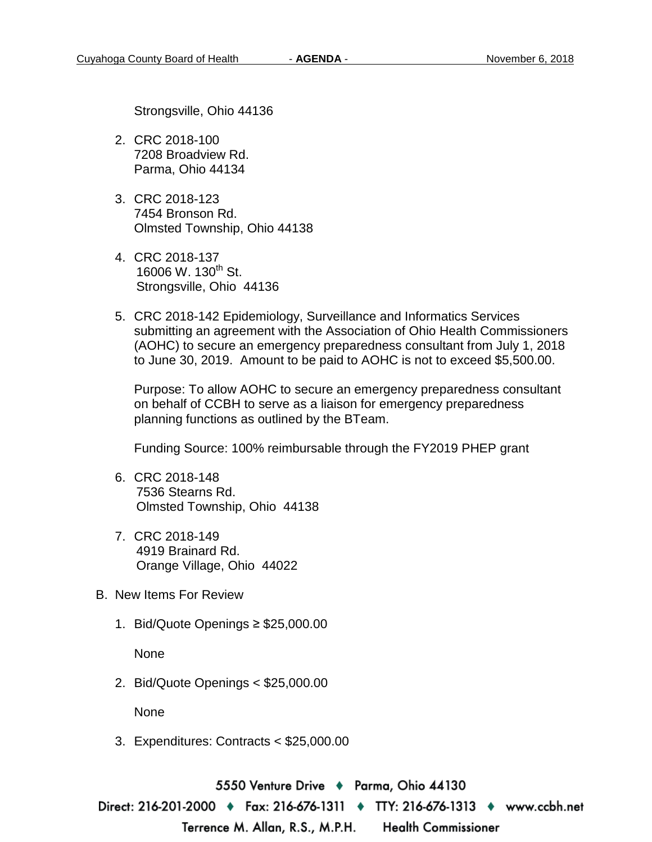Strongsville, Ohio 44136

- 2. CRC 2018-100 7208 Broadview Rd. Parma, Ohio 44134
- 3. CRC 2018-123 7454 Bronson Rd. Olmsted Township, Ohio 44138
- 4. CRC 2018-137 16006 W. 130<sup>th</sup> St. Strongsville, Ohio 44136
- 5. CRC 2018-142 Epidemiology, Surveillance and Informatics Services submitting an agreement with the Association of Ohio Health Commissioners (AOHC) to secure an emergency preparedness consultant from July 1, 2018 to June 30, 2019. Amount to be paid to AOHC is not to exceed \$5,500.00.

Purpose: To allow AOHC to secure an emergency preparedness consultant on behalf of CCBH to serve as a liaison for emergency preparedness planning functions as outlined by the BTeam.

Funding Source: 100% reimbursable through the FY2019 PHEP grant

- 6. CRC 2018-148 7536 Stearns Rd. Olmsted Township, Ohio 44138
- 7. CRC 2018-149 4919 Brainard Rd. Orange Village, Ohio 44022
- B. New Items For Review
	- 1. Bid/Quote Openings ≥ \$25,000.00

None

2. Bid/Quote Openings < \$25,000.00

None

3. Expenditures: Contracts < \$25,000.00

5550 Venture Drive → Parma, Ohio 44130

Direct: 216-201-2000 • Fax: 216-676-1311 • TTY: 216-676-1313 • www.ccbh.net

Terrence M. Allan, R.S., M.P.H. **Health Commissioner**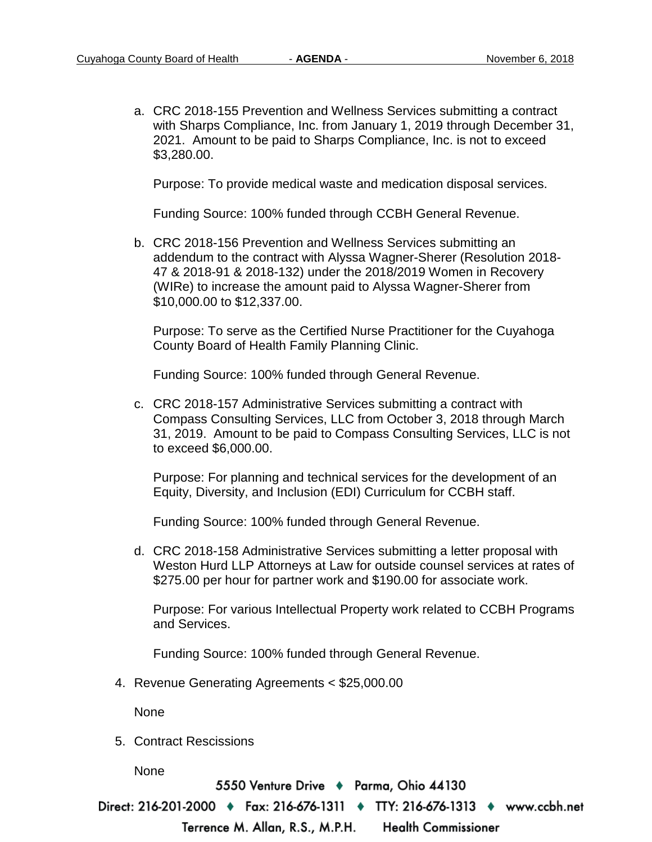a. CRC 2018-155 Prevention and Wellness Services submitting a contract with Sharps Compliance, Inc. from January 1, 2019 through December 31, 2021. Amount to be paid to Sharps Compliance, Inc. is not to exceed \$3,280.00.

Purpose: To provide medical waste and medication disposal services.

Funding Source: 100% funded through CCBH General Revenue.

b. CRC 2018-156 Prevention and Wellness Services submitting an addendum to the contract with Alyssa Wagner-Sherer (Resolution 2018- 47 & 2018-91 & 2018-132) under the 2018/2019 Women in Recovery (WIRe) to increase the amount paid to Alyssa Wagner-Sherer from \$10,000.00 to \$12,337.00.

Purpose: To serve as the Certified Nurse Practitioner for the Cuyahoga County Board of Health Family Planning Clinic.

Funding Source: 100% funded through General Revenue.

c. CRC 2018-157 Administrative Services submitting a contract with Compass Consulting Services, LLC from October 3, 2018 through March 31, 2019. Amount to be paid to Compass Consulting Services, LLC is not to exceed \$6,000.00.

Purpose: For planning and technical services for the development of an Equity, Diversity, and Inclusion (EDI) Curriculum for CCBH staff.

Funding Source: 100% funded through General Revenue.

d. CRC 2018-158 Administrative Services submitting a letter proposal with Weston Hurd LLP Attorneys at Law for outside counsel services at rates of \$275.00 per hour for partner work and \$190.00 for associate work.

Purpose: For various Intellectual Property work related to CCBH Programs and Services.

Funding Source: 100% funded through General Revenue.

4. Revenue Generating Agreements < \$25,000.00

None

5. Contract Rescissions

None

5550 Venture Drive + Parma, Ohio 44130

Direct: 216-201-2000 • Fax: 216-676-1311 • TTY: 216-676-1313 • www.ccbh.net

**Health Commissioner** Terrence M. Allan, R.S., M.P.H.